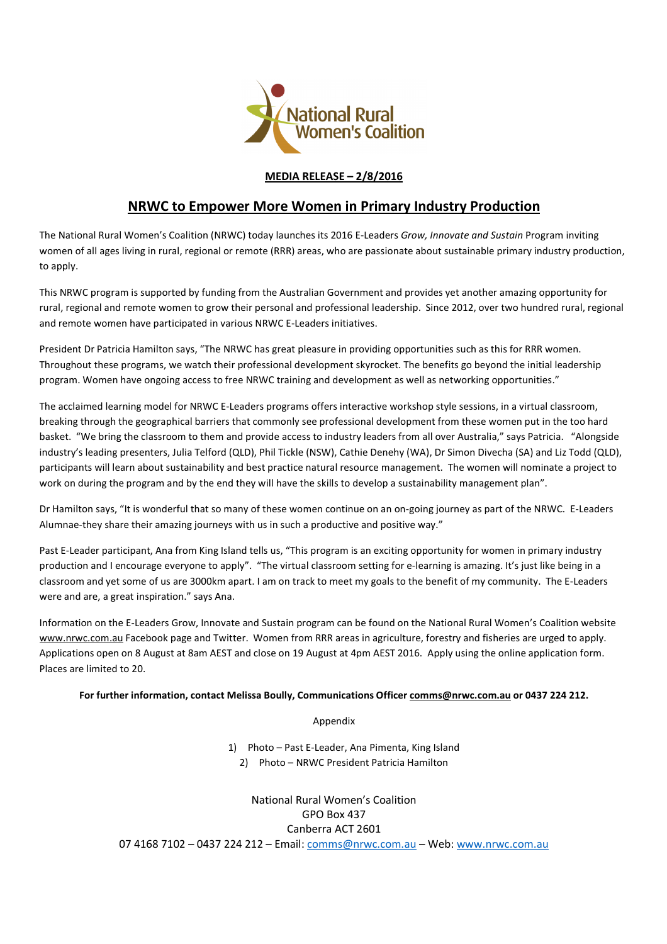

## **MEDIA RELEASE – 2/8/2016**

## **NRWC to Empower More Women in Primary Industry Production**

The National Rural Women's Coalition (NRWC) today launches its 2016 E-Leaders *Grow, Innovate and Sustain* Program inviting women of all ages living in rural, regional or remote (RRR) areas, who are passionate about sustainable primary industry production, to apply.

This NRWC program is supported by funding from the Australian Government and provides yet another amazing opportunity for rural, regional and remote women to grow their personal and professional leadership. Since 2012, over two hundred rural, regional and remote women have participated in various NRWC E-Leaders initiatives.

President Dr Patricia Hamilton says, "The NRWC has great pleasure in providing opportunities such as this for RRR women. Throughout these programs, we watch their professional development skyrocket. The benefits go beyond the initial leadership program. Women have ongoing access to free NRWC training and development as well as networking opportunities."

The acclaimed learning model for NRWC E-Leaders programs offers interactive workshop style sessions, in a virtual classroom, breaking through the geographical barriers that commonly see professional development from these women put in the too hard basket. "We bring the classroom to them and provide access to industry leaders from all over Australia," says Patricia. "Alongside industry's leading presenters, Julia Telford (QLD), Phil Tickle (NSW), Cathie Denehy (WA), Dr Simon Divecha (SA) and Liz Todd (QLD), participants will learn about sustainability and best practice natural resource management. The women will nominate a project to work on during the program and by the end they will have the skills to develop a sustainability management plan".

Dr Hamilton says, "It is wonderful that so many of these women continue on an on-going journey as part of the NRWC. E-Leaders Alumnae-they share their amazing journeys with us in such a productive and positive way."

Past E-Leader participant, Ana from King Island tells us, "This program is an exciting opportunity for women in primary industry production and I encourage everyone to apply". "The virtual classroom setting for e-learning is amazing. It's just like being in a classroom and yet some of us are 3000km apart. I am on track to meet my goals to the benefit of my community. The E-Leaders were and are, a great inspiration." says Ana.

Information on the E-Leaders Grow, Innovate and Sustain program can be found on the National Rural Women's Coalition website www.nrwc.com.au Facebook page and Twitter. Women from RRR areas in agriculture, forestry and fisheries are urged to apply. Applications open on 8 August at 8am AEST and close on 19 August at 4pm AEST 2016. Apply using the online application form. Places are limited to 20.

## **For further information, contact Melissa Boully, Communications Officer comms@nrwc.com.au or 0437 224 212.**

Appendix

1) Photo – Past E-Leader, Ana Pimenta, King Island 2) Photo – NRWC President Patricia Hamilton

National Rural Women's Coalition GPO Box 437 Canberra ACT 2601 07 4168 7102 - 0437 224 212 - Email: comms@nrwc.com.au - Web: www.nrwc.com.au